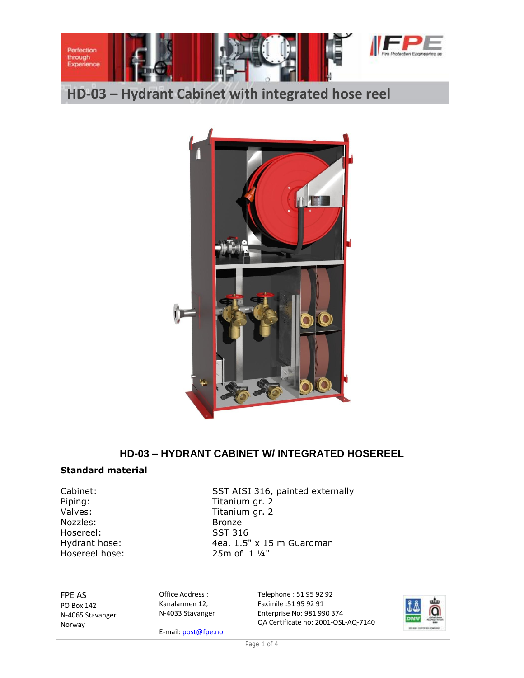

**HD-03 – Hydrant Cabinet with integrated hose reel**



# **HD-03 – HYDRANT CABINET W/ INTEGRATED HOSEREEL**

#### **Standard material**

Piping: Titanium gr. 2 Valves: Valves: Titanium gr. 2 Nozzles: Bronze<br>Hosereel: SST 316 Hosereel: Hosereel hose: 25m of 1 ¼"

Cabinet: SST AISI 316, painted externally Hydrant hose: 4ea. 1.5" x 15 m Guardman

FPE AS PO Box 142 N-4065 Stavanger Norway

Office Address : Kanalarmen 12, N-4033 Stavanger

E-mail: post@fpe.no

Telephone : 51 95 92 92 Faximile :51 95 92 91 Enterprise No: 981 990 374 QA Certificate no: 2001-OSL-AQ-7140



Page 1 of 4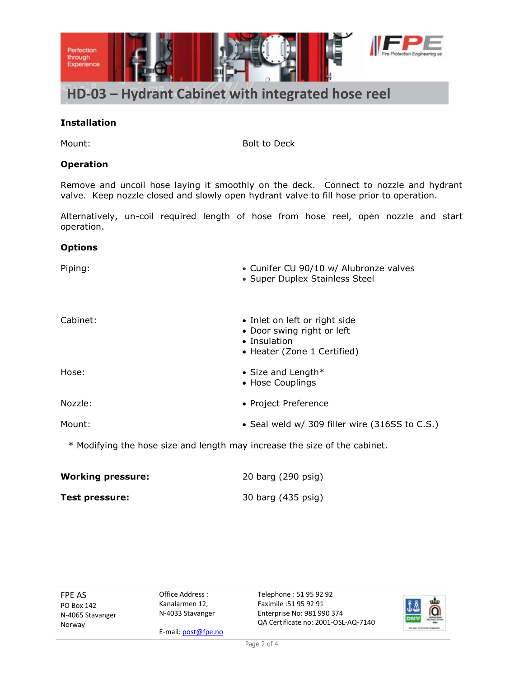

## **Installation**

Mount: Bolt to Deck

#### **Operation**

Remove and uncoil hose laying it smoothly on the deck. Connect to nozzle and hydrant valve. Keep nozzle closed and slowly open hydrant valve to fill hose prior to operation.

Alternatively, un-coil required length of hose from hose reel, open nozzle and start operation.

#### **Options**

| Piping:  | • Cunifer CU 90/10 w/ Alubronze valves<br>• Super Duplex Stainless Steel                                   |  |  |
|----------|------------------------------------------------------------------------------------------------------------|--|--|
| Cabinet: | • Inlet on left or right side<br>• Door swing right or left<br>• Insulation<br>• Heater (Zone 1 Certified) |  |  |
| Hose:    | • Size and Length $*$<br>• Hose Couplings                                                                  |  |  |
| Nozzle:  | • Project Preference                                                                                       |  |  |
| Mount:   | • Seal weld w/ 309 filler wire (316SS to C.S.)                                                             |  |  |
|          | * Modifying the hose size and length may increase the size of the cabinet.                                 |  |  |

| <b>Working pressure:</b> | 20 barg (290 psig) |
|--------------------------|--------------------|
| <b>Test pressure:</b>    | 30 barg (435 psig) |

FPE AS PO Box 142 N-4065 Stavanger Norway

Office Address : Kanalarmen 12, N-4033 Stavanger

E-mail: post@fpe.no

Telephone : 51 95 92 92 Faximile :51 95 92 91 Enterprise No: 981 990 374 QA Certificate no: 2001-OSL-AQ-7140

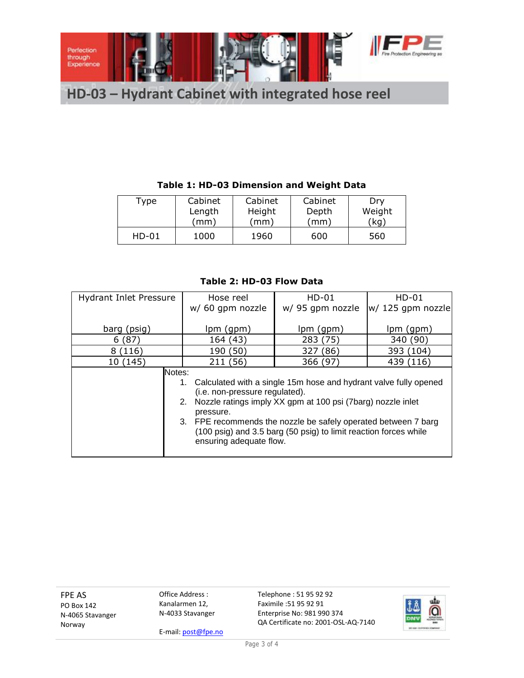

**HD-03 – Hydrant Cabinet with integrated hose reel**

# **Table 1: HD-03 Dimension and Weight Data**

| Type    | Cabinet | Cabinet | Cabinet | Dry    |
|---------|---------|---------|---------|--------|
|         | Length  | Height  | Depth   | Weight |
|         | (mm)    | (mm)    | (mm)    | (kg)   |
| $HD-01$ | 1000    | 1960    | 600     | 560    |

## **Table 2: HD-03 Flow Data**

| <b>Hydrant Inlet Pressure</b> | Hose reel                                                              | $HD-01$         | $HD-01$             |  |
|-------------------------------|------------------------------------------------------------------------|-----------------|---------------------|--|
|                               | w/ 60 gpm nozzle                                                       | w/95 gpm nozzle | $ w/125$ gpm nozzle |  |
|                               |                                                                        |                 |                     |  |
| barg (psig)                   | $lpm($ (gpm)                                                           | lpm (gpm)       | lpm (gpm)           |  |
| 6(87)                         | 164 (43)                                                               | 283 (75)        | 340 (90)            |  |
| 8 (116)                       | 190 (50)                                                               | 327 (86)        | 393 (104)           |  |
| 10 (145)                      | 211 (56)                                                               | 366 (97)        | 439 (116)           |  |
| Notes:                        |                                                                        |                 |                     |  |
|                               | Calculated with a single 15m hose and hydrant valve fully opened<br>1. |                 |                     |  |
|                               | (i.e. non-pressure regulated).                                         |                 |                     |  |
|                               | Nozzle ratings imply XX gpm at 100 psi (7barg) nozzle inlet<br>2.      |                 |                     |  |
|                               | pressure.                                                              |                 |                     |  |
|                               | 3. FPE recommends the nozzle be safely operated between 7 barg         |                 |                     |  |
|                               | (100 psig) and 3.5 barg (50 psig) to limit reaction forces while       |                 |                     |  |
|                               | ensuring adequate flow.                                                |                 |                     |  |
|                               |                                                                        |                 |                     |  |

FPE AS PO Box 142 N-4065 Stavanger Norway

Office Address : Kanalarmen 12, N-4033 Stavanger

E-mail: post@fpe.no

Telephone : 51 95 92 92 Faximile :51 95 92 91 Enterprise No: 981 990 374 QA Certificate no: 2001-OSL-AQ-7140